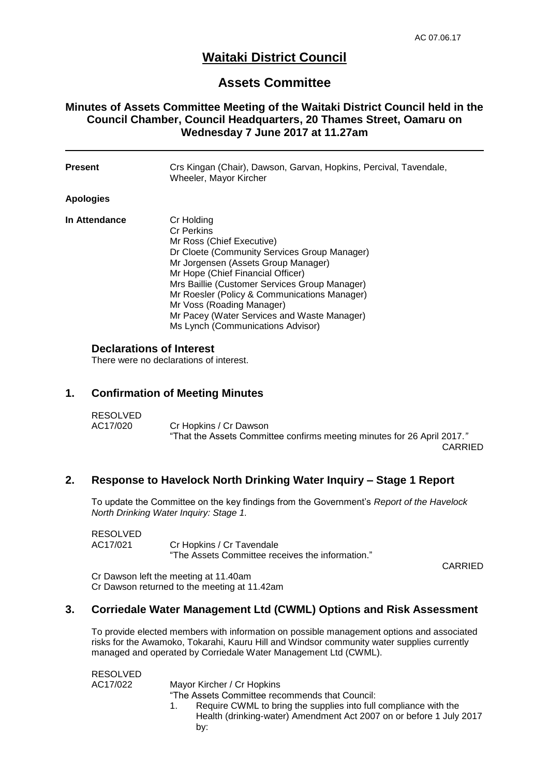# **Waitaki District Council**

## **Assets Committee**

### **Minutes of Assets Committee Meeting of the Waitaki District Council held in the Council Chamber, Council Headquarters, 20 Thames Street, Oamaru on Wednesday 7 June 2017 at 11.27am**

| <b>Present</b> | Crs Kingan (Chair), Dawson, Garvan, Hopkins, Percival, Tavendale,<br>Wheeler, Mayor Kircher                                                                                                                                                                                                                                                                                                                |
|----------------|------------------------------------------------------------------------------------------------------------------------------------------------------------------------------------------------------------------------------------------------------------------------------------------------------------------------------------------------------------------------------------------------------------|
| Apologies      |                                                                                                                                                                                                                                                                                                                                                                                                            |
| In Attendance  | Cr Holding<br><b>Cr Perkins</b><br>Mr Ross (Chief Executive)<br>Dr Cloete (Community Services Group Manager)<br>Mr Jorgensen (Assets Group Manager)<br>Mr Hope (Chief Financial Officer)<br>Mrs Baillie (Customer Services Group Manager)<br>Mr Roesler (Policy & Communications Manager)<br>Mr Voss (Roading Manager)<br>Mr Pacey (Water Services and Waste Manager)<br>Ms Lynch (Communications Advisor) |

### **Declarations of Interest**

There were no declarations of interest.

#### **1. Confirmation of Meeting Minutes**

| <b>RESOLVED</b> |                                                                         |  |
|-----------------|-------------------------------------------------------------------------|--|
| AC17/020        | Cr Hopkins / Cr Dawson                                                  |  |
|                 | "That the Assets Committee confirms meeting minutes for 26 April 2017." |  |

CARRIED

#### **2. Response to Havelock North Drinking Water Inquiry – Stage 1 Report**

To update the Committee on the key findings from the Government's *Report of the Havelock North Drinking Water Inquiry: Stage 1.*

| RESOLVED |                                                  |
|----------|--------------------------------------------------|
| AC17/021 | Cr Hopkins / Cr Tavendale                        |
|          | "The Assets Committee receives the information." |

CARRIED

Cr Dawson left the meeting at 11.40am Cr Dawson returned to the meeting at 11.42am

#### **3. Corriedale Water Management Ltd (CWML) Options and Risk Assessment**

To provide elected members with information on possible management options and associated risks for the Awamoko, Tokarahi, Kauru Hill and Windsor community water supplies currently managed and operated by Corriedale Water Management Ltd (CWML).

| <b>RESOLVED</b> |                                                                     |
|-----------------|---------------------------------------------------------------------|
| AC17/022        | Mayor Kircher / Cr Hopkins                                          |
|                 | "The Assets Committee recommends that Council:                      |
|                 | Require CWML to bring the supplies into full compliance with the    |
|                 | Health (drinking-water) Amendment Act 2007 on or before 1 July 2017 |
|                 | by:                                                                 |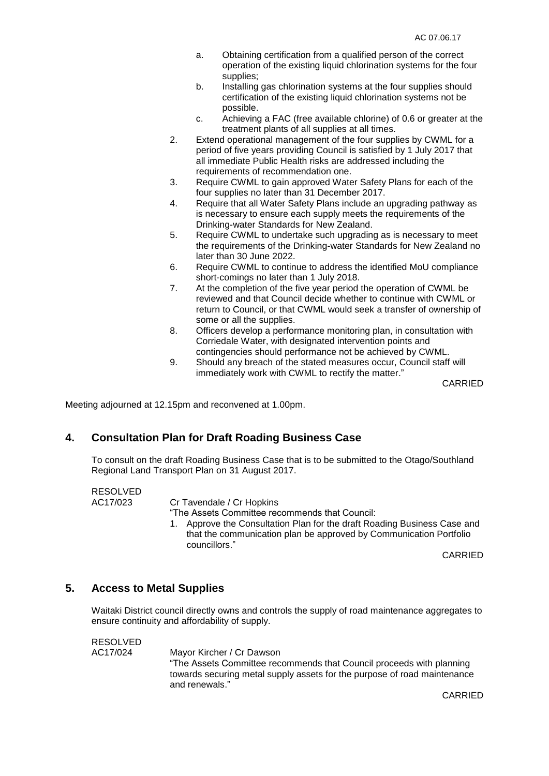- a. Obtaining certification from a qualified person of the correct operation of the existing liquid chlorination systems for the four supplies;
- b. Installing gas chlorination systems at the four supplies should certification of the existing liquid chlorination systems not be possible.
- c. Achieving a FAC (free available chlorine) of 0.6 or greater at the treatment plants of all supplies at all times.
- 2. Extend operational management of the four supplies by CWML for a period of five years providing Council is satisfied by 1 July 2017 that all immediate Public Health risks are addressed including the requirements of recommendation one.
- 3. Require CWML to gain approved Water Safety Plans for each of the four supplies no later than 31 December 2017.
- 4. Require that all Water Safety Plans include an upgrading pathway as is necessary to ensure each supply meets the requirements of the Drinking-water Standards for New Zealand.
- 5. Require CWML to undertake such upgrading as is necessary to meet the requirements of the Drinking-water Standards for New Zealand no later than 30 June 2022.
- 6. Require CWML to continue to address the identified MoU compliance short-comings no later than 1 July 2018.
- 7. At the completion of the five year period the operation of CWML be reviewed and that Council decide whether to continue with CWML or return to Council, or that CWML would seek a transfer of ownership of some or all the supplies.
- 8. Officers develop a performance monitoring plan, in consultation with Corriedale Water, with designated intervention points and contingencies should performance not be achieved by CWML.
- 9. Should any breach of the stated measures occur, Council staff will immediately work with CWML to rectify the matter."

CARRIED

Meeting adjourned at 12.15pm and reconvened at 1.00pm.

#### **4. Consultation Plan for Draft Roading Business Case**

To consult on the draft Roading Business Case that is to be submitted to the Otago/Southland Regional Land Transport Plan on 31 August 2017.

RESOLVED

AC17/023 Cr Tavendale / Cr Hopkins

- "The Assets Committee recommends that Council:
- 1. Approve the Consultation Plan for the draft Roading Business Case and that the communication plan be approved by Communication Portfolio councillors."

CARRIED

#### **5. Access to Metal Supplies**

Waitaki District council directly owns and controls the supply of road maintenance aggregates to ensure continuity and affordability of supply.

RESOLVED

AC17/024 Mayor Kircher / Cr Dawson "The Assets Committee recommends that Council proceeds with planning towards securing metal supply assets for the purpose of road maintenance and renewals."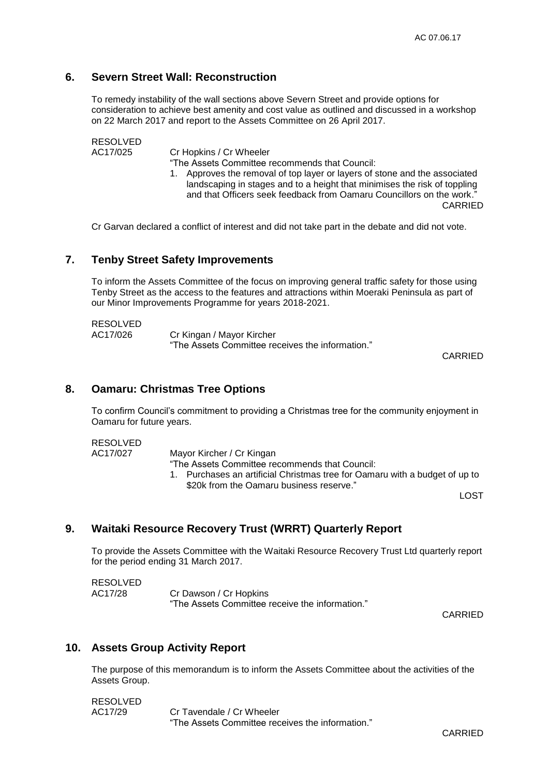## **6. Severn Street Wall: Reconstruction**

To remedy instability of the wall sections above Severn Street and provide options for consideration to achieve best amenity and cost value as outlined and discussed in a workshop on 22 March 2017 and report to the Assets Committee on 26 April 2017.

RESOLVED

AC17/025 Cr Hopkins / Cr Wheeler

"The Assets Committee recommends that Council:

1. Approves the removal of top layer or layers of stone and the associated landscaping in stages and to a height that minimises the risk of toppling and that Officers seek feedback from Oamaru Councillors on the work." CARRIED

Cr Garvan declared a conflict of interest and did not take part in the debate and did not vote.

#### **7. Tenby Street Safety Improvements**

To inform the Assets Committee of the focus on improving general traffic safety for those using Tenby Street as the access to the features and attractions within Moeraki Peninsula as part of our Minor Improvements Programme for years 2018-2021.

| <b>RESOLVED</b> |                                                  |
|-----------------|--------------------------------------------------|
| AC17/026        | Cr Kingan / Mayor Kircher                        |
|                 | "The Assets Committee receives the information." |

CARRIED

#### **8. Oamaru: Christmas Tree Options**

To confirm Council's commitment to providing a Christmas tree for the community enjoyment in Oamaru for future years.

#### RESOLVED

AC17/027 Mayor Kircher / Cr Kingan

- "The Assets Committee recommends that Council:
- 1. Purchases an artificial Christmas tree for Oamaru with a budget of up to \$20k from the Oamaru business reserve."

LOST

#### **9. Waitaki Resource Recovery Trust (WRRT) Quarterly Report**

To provide the Assets Committee with the Waitaki Resource Recovery Trust Ltd quarterly report for the period ending 31 March 2017.

| <b>RESOLVED</b> |                                                 |
|-----------------|-------------------------------------------------|
| AC17/28         | Cr Dawson / Cr Hopkins                          |
|                 | "The Assets Committee receive the information." |

CARRIED

#### **10. Assets Group Activity Report**

The purpose of this memorandum is to inform the Assets Committee about the activities of the Assets Group.

| RESOLVED |                                                  |
|----------|--------------------------------------------------|
| AC17/29  | Cr Tavendale / Cr Wheeler                        |
|          | "The Assets Committee receives the information." |